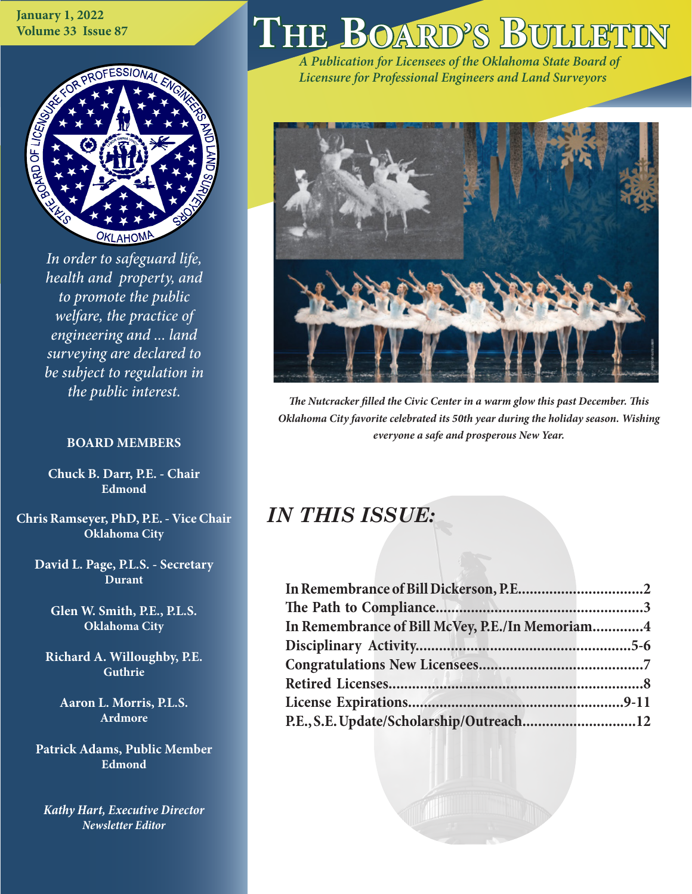**January 1, 2022 Volume 33 Issue 87**



*In order to safeguard life, health and property, and to promote the public welfare, the practice of engineering and ... land surveying are declared to be subject to regulation in the public interest.*

### **BOARD MEMBERS**

**Chuck B. Darr, P.E. - Chair Edmond**

**Chris Ramseyer, PhD, P.E. - Vice Chair Oklahoma City**

**David L. Page, P.L.S. - Secretary Durant**

**Glen W. Smith, P.E., P.L.S. Oklahoma City**

**Richard A. Willoughby, P.E. Guthrie**

**Aaron L. Morris, P.L.S. Ardmore**

**Patrick Adams, Public Member Edmond**

*Kathy Hart, Executive Director Newsletter Editor*

# $THE$  **BOARD'S**

*A Publication for Licensees of the Oklahoma State Board of Licensure for Professional Engineers and Land Surveyors*



*The Nutcracker filled the Civic Center in a warm glow this past December. This Oklahoma City favorite celebrated its 50th year during the holiday season. Wishing everyone a safe and prosperous New Year.*

# *IN THIS ISSUE:*

| In Remembrance of Bill McVey, P.E./In Memoriam4 |  |
|-------------------------------------------------|--|
|                                                 |  |
|                                                 |  |
|                                                 |  |
|                                                 |  |
| P.E., S.E. Update/Scholarship/Outreach12        |  |
|                                                 |  |

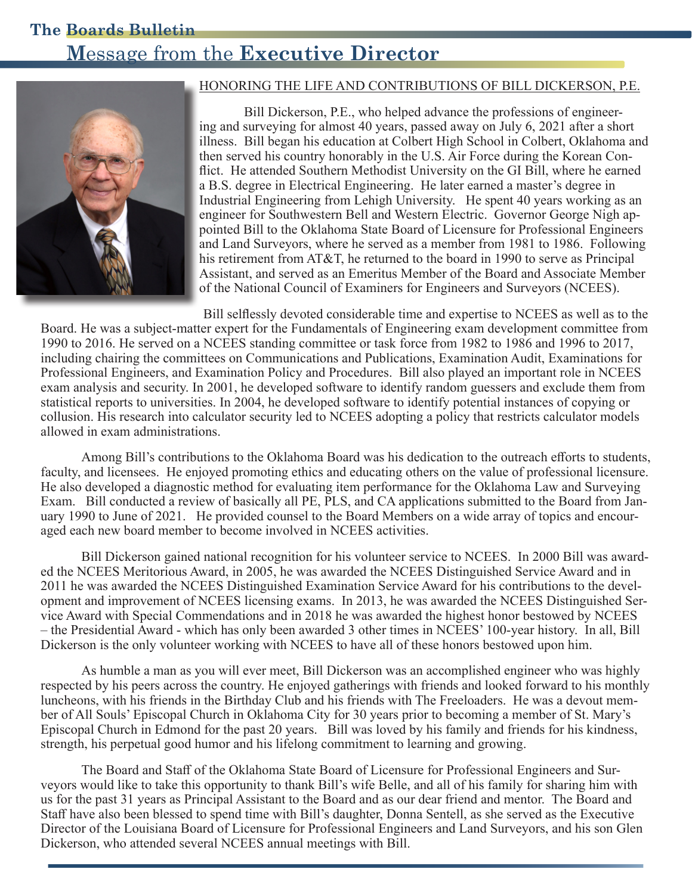# **The Boards Bulletin M**essage from the **Executive Director**



### HONORING THE LIFE AND CONTRIBUTIONS OF BILL DICKERSON, P.E.

 Bill Dickerson, P.E., who helped advance the professions of engineering and surveying for almost 40 years, passed away on July 6, 2021 after a short illness. Bill began his education at Colbert High School in Colbert, Oklahoma and then served his country honorably in the U.S. Air Force during the Korean Conflict. He attended Southern Methodist University on the GI Bill, where he earned a B.S. degree in Electrical Engineering. He later earned a master's degree in Industrial Engineering from Lehigh University. He spent 40 years working as an engineer for Southwestern Bell and Western Electric. Governor George Nigh appointed Bill to the Oklahoma State Board of Licensure for Professional Engineers and Land Surveyors, where he served as a member from 1981 to 1986. Following his retirement from AT&T, he returned to the board in 1990 to serve as Principal Assistant, and served as an Emeritus Member of the Board and Associate Member of the National Council of Examiners for Engineers and Surveyors (NCEES).

Bill selflessly devoted considerable time and expertise to NCEES as well as to the Board. He was a subject-matter expert for the Fundamentals of Engineering exam development committee from 1990 to 2016. He served on a NCEES standing committee or task force from 1982 to 1986 and 1996 to 2017, including chairing the committees on Communications and Publications, Examination Audit, Examinations for Professional Engineers, and Examination Policy and Procedures. Bill also played an important role in NCEES exam analysis and security. In 2001, he developed software to identify random guessers and exclude them from statistical reports to universities. In 2004, he developed software to identify potential instances of copying or collusion. His research into calculator security led to NCEES adopting a policy that restricts calculator models allowed in exam administrations.

Among Bill's contributions to the Oklahoma Board was his dedication to the outreach efforts to students, faculty, and licensees. He enjoyed promoting ethics and educating others on the value of professional licensure. He also developed a diagnostic method for evaluating item performance for the Oklahoma Law and Surveying Exam. Bill conducted a review of basically all PE, PLS, and CA applications submitted to the Board from January 1990 to June of 2021. He provided counsel to the Board Members on a wide array of topics and encouraged each new board member to become involved in NCEES activities.

Bill Dickerson gained national recognition for his volunteer service to NCEES. In 2000 Bill was awarded the NCEES Meritorious Award, in 2005, he was awarded the NCEES Distinguished Service Award and in 2011 he was awarded the NCEES Distinguished Examination Service Award for his contributions to the development and improvement of NCEES licensing exams. In 2013, he was awarded the NCEES Distinguished Service Award with Special Commendations and in 2018 he was awarded the highest honor bestowed by NCEES – the Presidential Award - which has only been awarded 3 other times in NCEES' 100-year history. In all, Bill Dickerson is the only volunteer working with NCEES to have all of these honors bestowed upon him.

As humble a man as you will ever meet, Bill Dickerson was an accomplished engineer who was highly respected by his peers across the country. He enjoyed gatherings with friends and looked forward to his monthly luncheons, with his friends in the Birthday Club and his friends with The Freeloaders. He was a devout member of All Souls' Episcopal Church in Oklahoma City for 30 years prior to becoming a member of St. Mary's Episcopal Church in Edmond for the past 20 years. Bill was loved by his family and friends for his kindness, strength, his perpetual good humor and his lifelong commitment to learning and growing.

The Board and Staff of the Oklahoma State Board of Licensure for Professional Engineers and Surveyors would like to take this opportunity to thank Bill's wife Belle, and all of his family for sharing him with us for the past 31 years as Principal Assistant to the Board and as our dear friend and mentor. The Board and Staff have also been blessed to spend time with Bill's daughter, Donna Sentell, as she served as the Executive Director of the Louisiana Board of Licensure for Professional Engineers and Land Surveyors, and his son Glen Dickerson, who attended several NCEES annual meetings with Bill.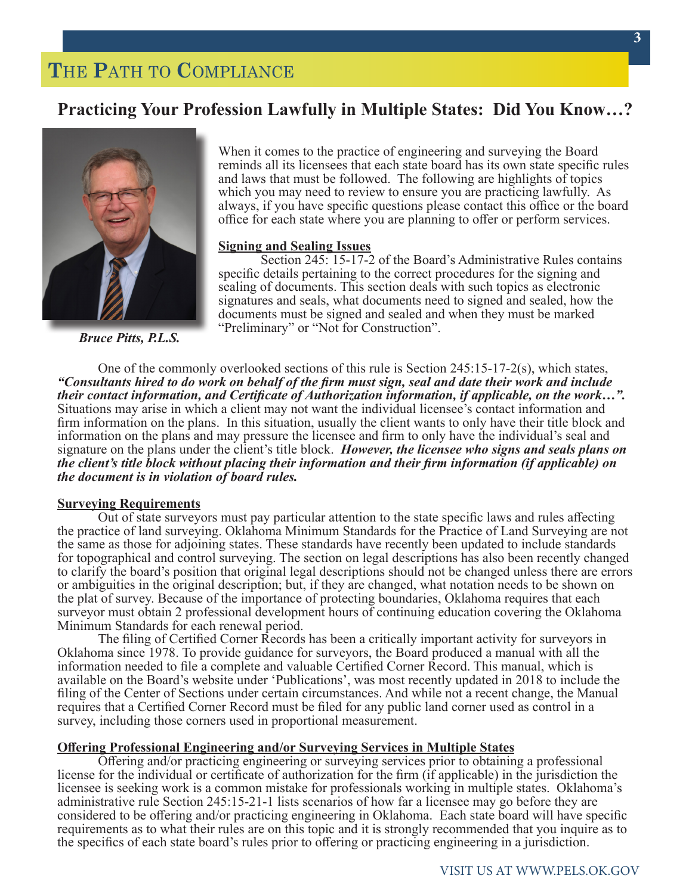# **T**HE **P**ATH TO **C**OMPLIANCE

### **Practicing Your Profession Lawfully in Multiple States: Did You Know…?**



*Bruce Pitts, P.L.S.*

When it comes to the practice of engineering and surveying the Board reminds all its licensees that each state board has its own state specific rules and laws that must be followed. The following are highlights of topics which you may need to review to ensure you are practicing lawfully. As always, if you have specific questions please contact this office or the board office for each state where you are planning to offer or perform services.

#### **Signing and Sealing Issues**

Section 245: 15-17-2 of the Board's Administrative Rules contains specific details pertaining to the correct procedures for the signing and sealing of documents. This section deals with such topics as electronic signatures and seals, what documents need to signed and sealed, how the documents must be signed and sealed and when they must be marked "Preliminary" or "Not for Construction".

One of the commonly overlooked sections of this rule is Section 245:15-17-2(s), which states, *"Consultants hired to do work on behalf of the firm must sign, seal and date their work and include their contact information, and Certificate of Authorization information, if applicable, on the work…".*  Situations may arise in which a client may not want the individual licensee's contact information and firm information on the plans. In this situation, usually the client wants to only have their title block and information on the plans and may pressure the licensee and firm to only have the individual's seal and signature on the plans under the client's title block. *However, the licensee who signs and seals plans on the client's title block without placing their information and their firm information (if applicable) on the document is in violation of board rules.*

#### **Surveying Requirements**

Out of state surveyors must pay particular attention to the state specific laws and rules affecting the practice of land surveying. Oklahoma Minimum Standards for the Practice of Land Surveying are not the same as those for adjoining states. These standards have recently been updated to include standards for topographical and control surveying. The section on legal descriptions has also been recently changed to clarify the board's position that original legal descriptions should not be changed unless there are errors or ambiguities in the original description; but, if they are changed, what notation needs to be shown on the plat of survey. Because of the importance of protecting boundaries, Oklahoma requires that each surveyor must obtain 2 professional development hours of continuing education covering the Oklahoma Minimum Standards for each renewal period.

The filing of Certified Corner Records has been a critically important activity for surveyors in Oklahoma since 1978. To provide guidance for surveyors, the Board produced a manual with all the information needed to file a complete and valuable Certified Corner Record. This manual, which is available on the Board's website under 'Publications', was most recently updated in 2018 to include the filing of the Center of Sections under certain circumstances. And while not a recent change, the Manual requires that a Certified Corner Record must be filed for any public land corner used as control in a survey, including those corners used in proportional measurement.

#### **Offering Professional Engineering and/or Surveying Services in Multiple States**

Offering and/or practicing engineering or surveying services prior to obtaining a professional license for the individual or certificate of authorization for the firm (if applicable) in the jurisdiction the licensee is seeking work is a common mistake for professionals working in multiple states. Oklahoma's administrative rule Section 245:15-21-1 lists scenarios of how far a licensee may go before they are considered to be offering and/or practicing engineering in Oklahoma. Each state board will have specific requirements as to what their rules are on this topic and it is strongly recommended that you inquire as to the specifics of each state board's rules prior to offering or practicing engineering in a jurisdiction.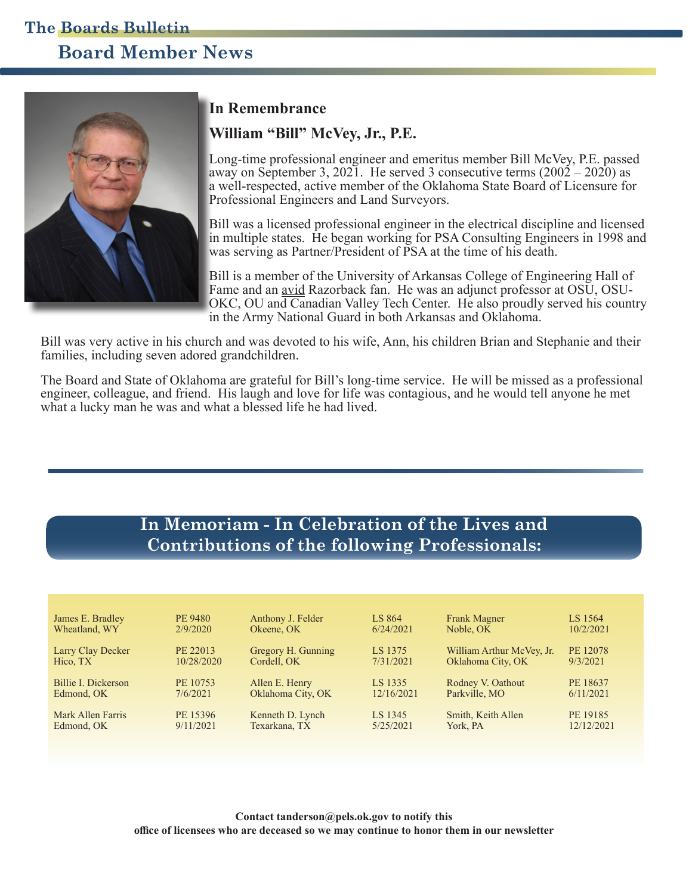# **Board Member News The Boards Bulletin**



### **In Remembrance**

### **William "Bill" McVey, Jr., P.E.**

Long-time professional engineer and emeritus member Bill McVey, P.E. passed away on September 3, 2021. He served 3 consecutive terms  $(2002 - 2020)$  as a well-respected, active member of the Oklahoma State Board of Licensure for Professional Engineers and Land Surveyors.

Bill was a licensed professional engineer in the electrical discipline and licensed in multiple states. He began working for PSA Consulting Engineers in 1998 and was serving as Partner/President of PSA at the time of his death.

Bill is a member of the University of Arkansas College of Engineering Hall of Fame and an avid Razorback fan. He was an adjunct professor at OSU, OSU-OKC, OU and Canadian Valley Tech Center. He also proudly served his country in the Army National Guard in both Arkansas and Oklahoma.

Bill was very active in his church and was devoted to his wife, Ann, his children Brian and Stephanie and their families, including seven adored grandchildren.

The Board and State of Oklahoma are grateful for Bill's long-time service. He will be missed as a professional engineer, colleague, and friend. His laugh and love for life was contagious, and he would tell anyone he met what a lucky man he was and what a blessed life he had lived.

### **In Memoriam - In Celebration of the Lives and Contributions of the following Professionals:**

| James E. Bradley    | PE 9480    | Anthony J. Felder  | LS 864     | <b>Frank Magner</b>       | LS 1564    |
|---------------------|------------|--------------------|------------|---------------------------|------------|
| Wheatland, WY       | 2/9/2020   | Okeene, OK         | 6/24/2021  | Noble, OK                 | 10/2/2021  |
| Larry Clay Decker   | PE 22013   | Gregory H. Gunning | LS 1375    | William Arthur McVey, Jr. | PE 12078   |
| Hico, TX            | 10/28/2020 | Cordell, OK        | 7/31/2021  | Oklahoma City, OK         | 9/3/2021   |
| Billie I. Dickerson | PE 10753   | Allen E. Henry     | LS 1335    | Rodney V. Oathout         | PE 18637   |
| Edmond, OK          | 7/6/2021   | Oklahoma City, OK  | 12/16/2021 | Parkville, MO             | 6/11/2021  |
| Mark Allen Farris   | PE 15396   | Kenneth D. Lynch   | LS 1345    | Smith, Keith Allen        | PE 19185   |
| Edmond, OK          | 9/11/2021  | Texarkana, TX      | 5/25/2021  | York, PA                  | 12/12/2021 |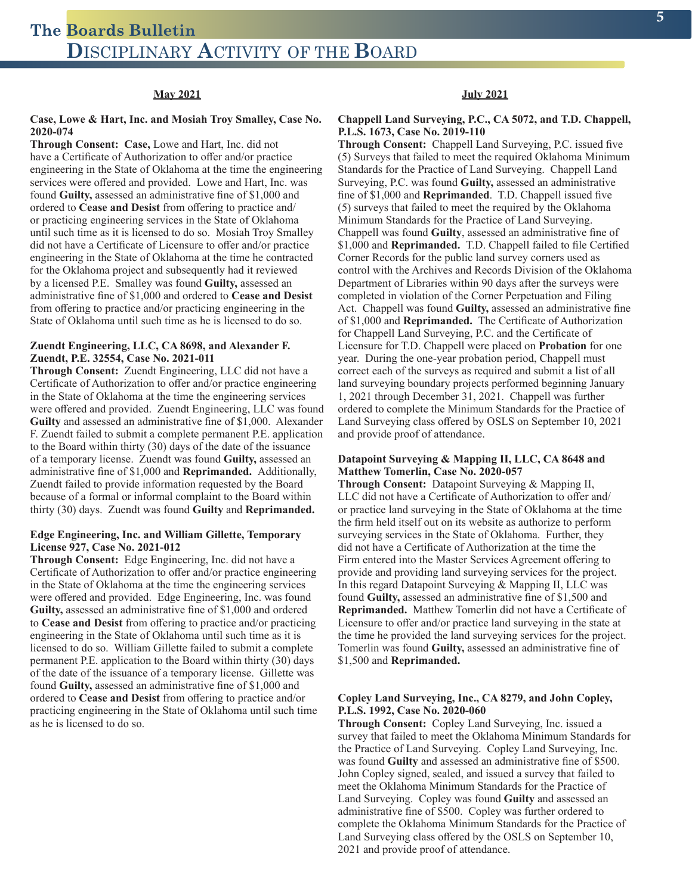#### **May 2021**

#### **Case, Lowe & Hart, Inc. and Mosiah Troy Smalley, Case No. 2020-074**

**Through Consent: Case,** Lowe and Hart, Inc. did not have a Certificate of Authorization to offer and/or practice engineering in the State of Oklahoma at the time the engineering services were offered and provided. Lowe and Hart, Inc. was found **Guilty,** assessed an administrative fine of \$1,000 and ordered to **Cease and Desist** from offering to practice and/ or practicing engineering services in the State of Oklahoma until such time as it is licensed to do so. Mosiah Troy Smalley did not have a Certificate of Licensure to offer and/or practice engineering in the State of Oklahoma at the time he contracted for the Oklahoma project and subsequently had it reviewed by a licensed P.E. Smalley was found **Guilty,** assessed an administrative fine of \$1,000 and ordered to **Cease and Desist**  from offering to practice and/or practicing engineering in the State of Oklahoma until such time as he is licensed to do so.

#### **Zuendt Engineering, LLC, CA 8698, and Alexander F. Zuendt, P.E. 32554, Case No. 2021-011**

**Through Consent:** Zuendt Engineering, LLC did not have a Certificate of Authorization to offer and/or practice engineering in the State of Oklahoma at the time the engineering services were offered and provided. Zuendt Engineering, LLC was found **Guilty** and assessed an administrative fine of \$1,000. Alexander F. Zuendt failed to submit a complete permanent P.E. application to the Board within thirty (30) days of the date of the issuance of a temporary license. Zuendt was found **Guilty,** assessed an administrative fine of \$1,000 and **Reprimanded.** Additionally, Zuendt failed to provide information requested by the Board because of a formal or informal complaint to the Board within thirty (30) days. Zuendt was found **Guilty** and **Reprimanded.**

#### **Edge Engineering, Inc. and William Gillette, Temporary License 927, Case No. 2021-012**

**Through Consent:** Edge Engineering, Inc. did not have a Certificate of Authorization to offer and/or practice engineering in the State of Oklahoma at the time the engineering services were offered and provided. Edge Engineering, Inc. was found **Guilty,** assessed an administrative fine of \$1,000 and ordered to **Cease and Desist** from offering to practice and/or practicing engineering in the State of Oklahoma until such time as it is licensed to do so. William Gillette failed to submit a complete permanent P.E. application to the Board within thirty (30) days of the date of the issuance of a temporary license. Gillette was found **Guilty,** assessed an administrative fine of \$1,000 and ordered to **Cease and Desist** from offering to practice and/or practicing engineering in the State of Oklahoma until such time as he is licensed to do so.

#### **July 2021**

#### **Chappell Land Surveying, P.C., CA 5072, and T.D. Chappell, P.L.S. 1673, Case No. 2019-110**

**Through Consent:** Chappell Land Surveying, P.C. issued five (5) Surveys that failed to meet the required Oklahoma Minimum Standards for the Practice of Land Surveying. Chappell Land Surveying, P.C. was found **Guilty,** assessed an administrative fine of \$1,000 and **Reprimanded**. T.D. Chappell issued five (5) surveys that failed to meet the required by the Oklahoma Minimum Standards for the Practice of Land Surveying. Chappell was found **Guilty**, assessed an administrative fine of \$1,000 and **Reprimanded.** T.D. Chappell failed to file Certified Corner Records for the public land survey corners used as control with the Archives and Records Division of the Oklahoma Department of Libraries within 90 days after the surveys were completed in violation of the Corner Perpetuation and Filing Act. Chappell was found **Guilty,** assessed an administrative fine of \$1,000 and **Reprimanded.** The Certificate of Authorization for Chappell Land Surveying, P.C. and the Certificate of Licensure for T.D. Chappell were placed on **Probation** for one year. During the one-year probation period, Chappell must correct each of the surveys as required and submit a list of all land surveying boundary projects performed beginning January 1, 2021 through December 31, 2021. Chappell was further ordered to complete the Minimum Standards for the Practice of Land Surveying class offered by OSLS on September 10, 2021 and provide proof of attendance.

#### **Datapoint Surveying & Mapping II, LLC, CA 8648 and Matthew Tomerlin, Case No. 2020-057**

**Through Consent:** Datapoint Surveying & Mapping II, LLC did not have a Certificate of Authorization to offer and/ or practice land surveying in the State of Oklahoma at the time the firm held itself out on its website as authorize to perform surveying services in the State of Oklahoma. Further, they did not have a Certificate of Authorization at the time the Firm entered into the Master Services Agreement offering to provide and providing land surveying services for the project. In this regard Datapoint Surveying & Mapping II, LLC was found **Guilty,** assessed an administrative fine of \$1,500 and **Reprimanded.** Matthew Tomerlin did not have a Certificate of Licensure to offer and/or practice land surveying in the state at the time he provided the land surveying services for the project. Tomerlin was found **Guilty,** assessed an administrative fine of \$1,500 and **Reprimanded.**

#### **Copley Land Surveying, Inc., CA 8279, and John Copley, P.L.S. 1992, Case No. 2020-060**

**Through Consent:** Copley Land Surveying, Inc. issued a survey that failed to meet the Oklahoma Minimum Standards for the Practice of Land Surveying. Copley Land Surveying, Inc. was found **Guilty** and assessed an administrative fine of \$500. John Copley signed, sealed, and issued a survey that failed to meet the Oklahoma Minimum Standards for the Practice of Land Surveying. Copley was found **Guilty** and assessed an administrative fine of \$500. Copley was further ordered to complete the Oklahoma Minimum Standards for the Practice of Land Surveying class offered by the OSLS on September 10, 2021 and provide proof of attendance.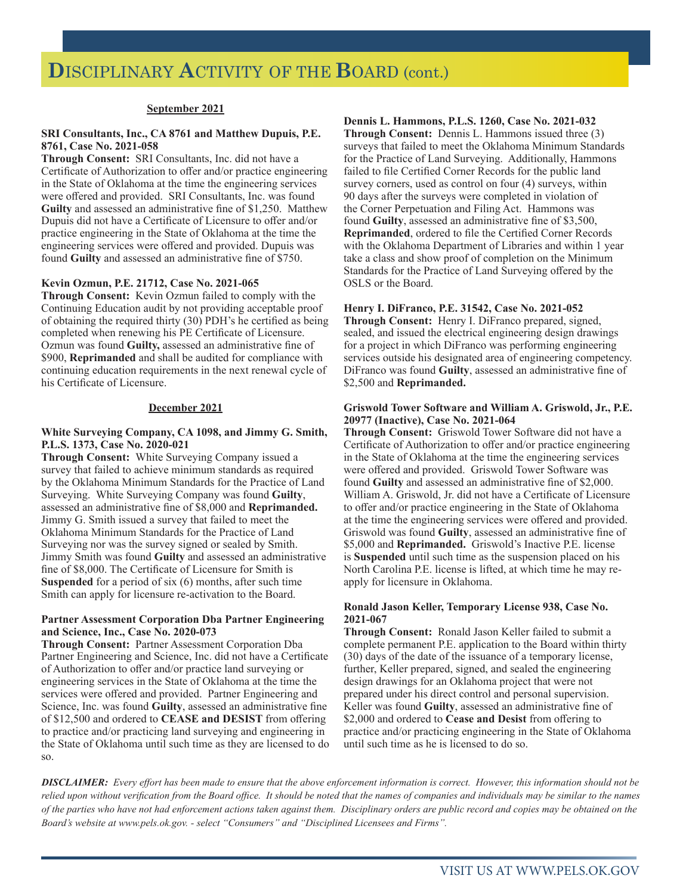#### **September 2021**

#### **SRI Consultants, Inc., CA 8761 and Matthew Dupuis, P.E. 8761, Case No. 2021-058**

**Through Consent:** SRI Consultants, Inc. did not have a Certificate of Authorization to offer and/or practice engineering in the State of Oklahoma at the time the engineering services were offered and provided. SRI Consultants, Inc. was found **Guilty** and assessed an administrative fine of \$1,250. Matthew Dupuis did not have a Certificate of Licensure to offer and/or practice engineering in the State of Oklahoma at the time the engineering services were offered and provided. Dupuis was found **Guilty** and assessed an administrative fine of \$750.

#### **Kevin Ozmun, P.E. 21712, Case No. 2021-065**

**Through Consent:** Kevin Ozmun failed to comply with the Continuing Education audit by not providing acceptable proof of obtaining the required thirty (30) PDH's he certified as being completed when renewing his PE Certificate of Licensure. Ozmun was found **Guilty,** assessed an administrative fine of \$900, **Reprimanded** and shall be audited for compliance with continuing education requirements in the next renewal cycle of his Certificate of Licensure.

#### **December 2021**

#### **White Surveying Company, CA 1098, and Jimmy G. Smith, P.L.S. 1373, Case No. 2020-021**

**Through Consent:** White Surveying Company issued a survey that failed to achieve minimum standards as required by the Oklahoma Minimum Standards for the Practice of Land Surveying. White Surveying Company was found **Guilty**, assessed an administrative fine of \$8,000 and **Reprimanded.**  Jimmy G. Smith issued a survey that failed to meet the Oklahoma Minimum Standards for the Practice of Land Surveying nor was the survey signed or sealed by Smith. Jimmy Smith was found **Guilty** and assessed an administrative fine of \$8,000. The Certificate of Licensure for Smith is **Suspended** for a period of six (6) months, after such time Smith can apply for licensure re-activation to the Board.

#### **Partner Assessment Corporation Dba Partner Engineering and Science, Inc., Case No. 2020-073**

**Through Consent:** Partner Assessment Corporation Dba Partner Engineering and Science, Inc. did not have a Certificate of Authorization to offer and/or practice land surveying or engineering services in the State of Oklahoma at the time the services were offered and provided. Partner Engineering and Science, Inc. was found **Guilty**, assessed an administrative fine of \$12,500 and ordered to **CEASE and DESIST** from offering to practice and/or practicing land surveying and engineering in the State of Oklahoma until such time as they are licensed to do so.

#### **Dennis L. Hammons, P.L.S. 1260, Case No. 2021-032**

**Through Consent:** Dennis L. Hammons issued three (3) surveys that failed to meet the Oklahoma Minimum Standards for the Practice of Land Surveying. Additionally, Hammons failed to file Certified Corner Records for the public land survey corners, used as control on four (4) surveys, within 90 days after the surveys were completed in violation of the Corner Perpetuation and Filing Act. Hammons was found **Guilty**, assessed an administrative fine of \$3,500, **Reprimanded**, ordered to file the Certified Corner Records with the Oklahoma Department of Libraries and within 1 year take a class and show proof of completion on the Minimum Standards for the Practice of Land Surveying offered by the OSLS or the Board.

#### **Henry I. DiFranco, P.E. 31542, Case No. 2021-052**

**Through Consent:** Henry I. DiFranco prepared, signed, sealed, and issued the electrical engineering design drawings for a project in which DiFranco was performing engineering services outside his designated area of engineering competency. DiFranco was found **Guilty**, assessed an administrative fine of \$2,500 and **Reprimanded.**

#### **Griswold Tower Software and William A. Griswold, Jr., P.E. 20977 (Inactive), Case No. 2021-064**

**Through Consent:** Griswold Tower Software did not have a Certificate of Authorization to offer and/or practice engineering in the State of Oklahoma at the time the engineering services were offered and provided. Griswold Tower Software was found **Guilty** and assessed an administrative fine of \$2,000. William A. Griswold, Jr. did not have a Certificate of Licensure to offer and/or practice engineering in the State of Oklahoma at the time the engineering services were offered and provided. Griswold was found **Guilty**, assessed an administrative fine of \$5,000 and **Reprimanded.** Griswold's Inactive P.E. license is **Suspended** until such time as the suspension placed on his North Carolina P.E. license is lifted, at which time he may reapply for licensure in Oklahoma.

#### **Ronald Jason Keller, Temporary License 938, Case No. 2021-067**

**Through Consent:** Ronald Jason Keller failed to submit a complete permanent P.E. application to the Board within thirty (30) days of the date of the issuance of a temporary license, further, Keller prepared, signed, and sealed the engineering design drawings for an Oklahoma project that were not prepared under his direct control and personal supervision. Keller was found **Guilty**, assessed an administrative fine of \$2,000 and ordered to **Cease and Desist** from offering to practice and/or practicing engineering in the State of Oklahoma until such time as he is licensed to do so.

*DISCLAIMER: Every effort has been made to ensure that the above enforcement information is correct. However, this information should not be relied upon without verification from the Board office. It should be noted that the names of companies and individuals may be similar to the names of the parties who have not had enforcement actions taken against them. Disciplinary orders are public record and copies may be obtained on the Board's website at www.pels.ok.gov. - select "Consumers" and "Disciplined Licensees and Firms".*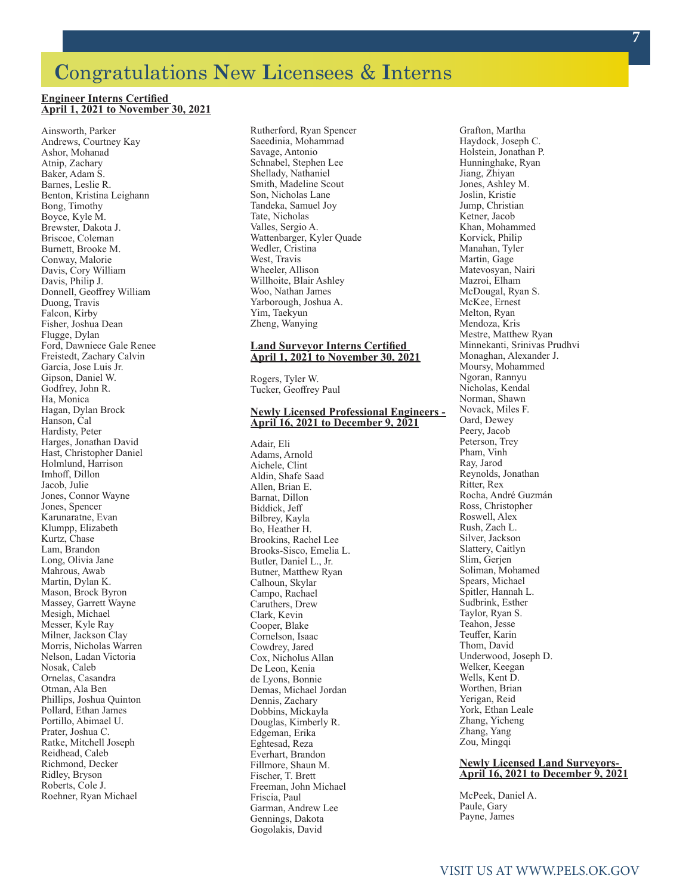# **C**ongratulations **N**ew **L**icensees & **I**nterns

#### **Engineer Interns Certified April 1, 2021 to November 30, 2021**

Ainsworth, Parker Andrews, Courtney Kay Ashor, Mohanad Atnip, Zachary Baker, Adam S. Barnes, Leslie R. Benton, Kristina Leighann Bong, Timothy Boyce, Kyle M. Brewster, Dakota J. Briscoe, Coleman Burnett, Brooke M. Conway, Malorie Davis, Cory William Davis, Philip J. Donnell, Geoffrey William Duong, Travis Falcon, Kirby Fisher, Joshua Dean Flugge, Dylan Ford, Dawniece Gale Renee Freistedt, Zachary Calvin Garcia, Jose Luis Jr. Gipson, Daniel W. Godfrey, John R. Ha, Monica Hagan, Dylan Brock Hanson, Cal Hardisty, Peter Harges, Jonathan David Hast, Christopher Daniel Holmlund, Harrison Imhoff, Dillon Jacob, Julie Jones, Connor Wayne Jones, Spencer Karunaratne, Evan Klumpp, Elizabeth Kurtz, Chase Lam, Brandon Long, Olivia Jane Mahrous, Awab Martin, Dylan K. Mason, Brock Byron Massey, Garrett Wayne Mesigh, Michael Messer, Kyle Ray Milner, Jackson Clay Morris, Nicholas Warren Nelson, Ladan Victoria Nosak, Caleb Ornelas, Casandra Otman, Ala Ben Phillips, Joshua Quinton Pollard, Ethan James Portillo, Abimael U. Prater, Joshua C. Ratke, Mitchell Joseph Reidhead, Caleb Richmond, Decker Ridley, Bryson Roberts, Cole J. Roehner, Ryan Michael

Rutherford, Ryan Spencer Saeedinia, Mohammad Savage, Antonio Schnabel, Stephen Lee Shellady, Nathaniel Smith, Madeline Scout Son, Nicholas Lane Tandeka, Samuel Joy Tate, Nicholas Valles, Sergio A. Wattenbarger, Kyler Quade Wedler, Cristina West, Travis Wheeler, Allison Willhoite, Blair Ashley Woo, Nathan James Yarborough, Joshua A. Yim, Taekyun Zheng, Wanying

#### **Land Surveyor Interns Certified April 1, 2021 to November 30, 2021**

Rogers, Tyler W. Tucker, Geoffrey Paul

#### **Newly Licensed Professional Engineers - April 16, 2021 to December 9, 2021**

Adair, Eli Adams, Arnold Aichele, Clint Aldin, Shafe Saad Allen, Brian E. Barnat, Dillon Biddick, Jeff Bilbrey, Kayla Bo, Heather H. Brookins, Rachel Lee Brooks-Sisco, Emelia L. Butler, Daniel L., Jr. Butner, Matthew Ryan Calhoun, Skylar Campo, Rachael Caruthers, Drew Clark, Kevin Cooper, Blake Cornelson, Isaac Cowdrey, Jared Cox, Nicholus Allan De Leon, Kenia de Lyons, Bonnie Demas, Michael Jordan Dennis, Zachary Dobbins, Mickayla Douglas, Kimberly R. Edgeman, Erika Eghtesad, Reza Everhart, Brandon Fillmore, Shaun M. Fischer, T. Brett Freeman, John Michael Friscia, Paul Garman, Andrew Lee Gennings, Dakota Gogolakis, David

Grafton, Martha Haydock, Joseph C. Holstein, Jonathan P. Hunninghake, Ryan Jiang, Zhiyan Jones, Ashley M. Joslin, Kristie Jump, Christian Ketner, Jacob Khan, Mohammed Korvick, Philip Manahan, Tyler Martin, Gage Matevosyan, Nairi Mazroi, Elham McDougal, Ryan S. McKee, Ernest Melton, Ryan Mendoza, Kris Mestre, Matthew Ryan Minnekanti, Srinivas Prudhvi Monaghan, Alexander J. Moursy, Mohammed Ngoran, Rannyu Nicholas, Kendal Norman, Shawn Novack, Miles F. Oard, Dewey Peery, Jacob Peterson, Trey Pham, Vinh Ray, Jarod Reynolds, Jonathan Ritter, Rex Rocha, André Guzmán Ross, Christopher Roswell, Alex Rush, Zach L. Silver, Jackson Slattery, Caitlyn Slim, Gerjen Soliman, Mohamed Spears, Michael Spitler, Hannah L. Sudbrink, Esther Taylor, Ryan S. Teahon, Jesse Teuffer, Karin Thom, David Underwood, Joseph D. Welker, Keegan Wells, Kent D. Worthen, Brian Yerigan, Reid York, Ethan Leale Zhang, Yicheng Zhang, Yang Zou, Mingqi

#### **Newly Licensed Land Surveyors-April 16, 2021 to December 9, 2021**

McPeek, Daniel A. Paule, Gary Payne, James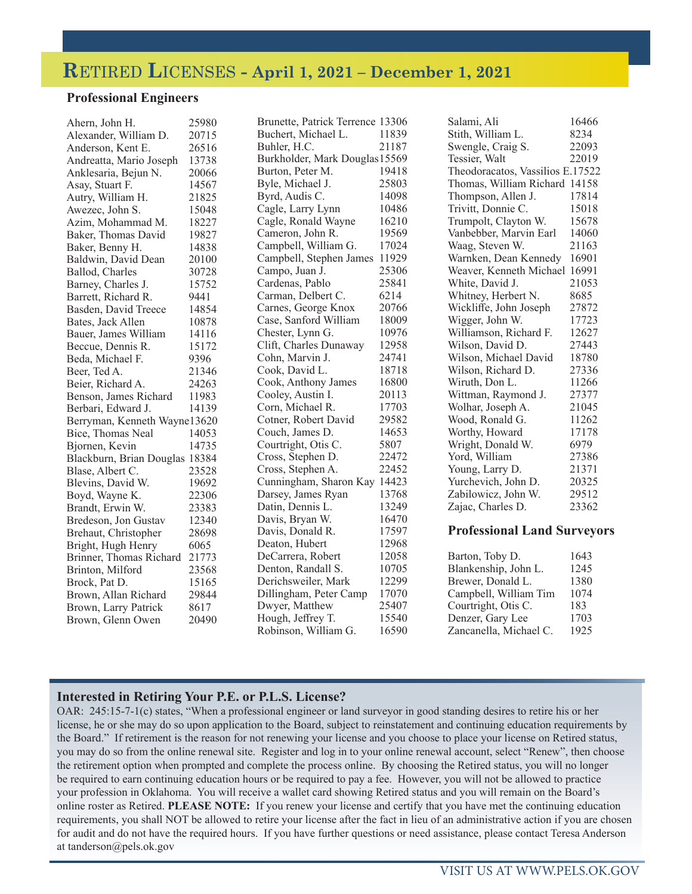# **R**ETIRED **L**ICENSES **- April 1, 2021 – December 1, 2021**

### **Professional Engineers**

| Ahern, John H.                 | 25980 | Brunette, Patrick Terrence 13306 |       | Salami, Ali                        | 16466 |
|--------------------------------|-------|----------------------------------|-------|------------------------------------|-------|
| Alexander, William D.          | 20715 | Buchert, Michael L.              | 11839 | Stith, William L.                  | 8234  |
| Anderson, Kent E.              | 26516 | Buhler, H.C.                     | 21187 | Swengle, Craig S.                  | 22093 |
| Andreatta, Mario Joseph        | 13738 | Burkholder, Mark Douglas 15569   |       | Tessier, Walt                      | 22019 |
| Anklesaria, Bejun N.           | 20066 | Burton, Peter M.                 | 19418 | Theodoracatos, Vassilios E.17522   |       |
| Asay, Stuart F.                | 14567 | Byle, Michael J.                 | 25803 | Thomas, William Richard 14158      |       |
| Autry, William H.              | 21825 | Byrd, Audis C.                   | 14098 | Thompson, Allen J.                 | 17814 |
| Awezec, John S.                | 15048 | Cagle, Larry Lynn                | 10486 | Trivitt, Donnie C.                 | 15018 |
| Azim, Mohammad M.              | 18227 | Cagle, Ronald Wayne              | 16210 | Trumpolt, Clayton W.               | 15678 |
| Baker, Thomas David            | 19827 | Cameron, John R.                 | 19569 | Vanbebber, Marvin Earl             | 14060 |
| Baker, Benny H.                | 14838 | Campbell, William G.             | 17024 | Waag, Steven W.                    | 21163 |
| Baldwin, David Dean            | 20100 | Campbell, Stephen James          | 11929 | Warnken, Dean Kennedy              | 16901 |
| Ballod, Charles                | 30728 | Campo, Juan J.                   | 25306 | Weaver, Kenneth Michael 16991      |       |
| Barney, Charles J.             | 15752 | Cardenas, Pablo                  | 25841 | White, David J.                    | 21053 |
| Barrett, Richard R.            | 9441  | Carman, Delbert C.               | 6214  | Whitney, Herbert N.                | 8685  |
| Basden, David Treece           | 14854 | Carnes, George Knox              | 20766 | Wickliffe, John Joseph             | 27872 |
| Bates, Jack Allen              | 10878 | Case, Sanford William            | 18009 | Wigger, John W.                    | 17723 |
| Bauer, James William           | 14116 | Chester, Lynn G.                 | 10976 | Williamson, Richard F.             | 12627 |
| Beccue, Dennis R.              | 15172 | Clift, Charles Dunaway           | 12958 | Wilson, David D.                   | 27443 |
| Beda, Michael F.               | 9396  | Cohn, Marvin J.                  | 24741 | Wilson, Michael David              | 18780 |
| Beer, Ted A.                   | 21346 | Cook, David L.                   | 18718 | Wilson, Richard D.                 | 27336 |
| Beier, Richard A.              | 24263 | Cook, Anthony James              | 16800 | Wiruth, Don L.                     | 11266 |
| Benson, James Richard          | 11983 | Cooley, Austin I.                | 20113 | Wittman, Raymond J.                | 27377 |
| Berbari, Edward J.             | 14139 | Corn, Michael R.                 | 17703 | Wolhar, Joseph A.                  | 21045 |
| Berryman, Kenneth Wayne13620   |       | Cotner, Robert David             | 29582 | Wood, Ronald G.                    | 11262 |
| Bice, Thomas Neal              | 14053 | Couch, James D.                  | 14653 | Worthy, Howard                     | 17178 |
| Bjornen, Kevin                 | 14735 | Courtright, Otis C.              | 5807  | Wright, Donald W.                  | 6979  |
| Blackburn, Brian Douglas 18384 |       | Cross, Stephen D.                | 22472 | Yord, William                      | 27386 |
| Blase, Albert C.               | 23528 | Cross, Stephen A.                | 22452 | Young, Larry D.                    | 21371 |
| Blevins, David W.              | 19692 | Cunningham, Sharon Kay 14423     |       | Yurchevich, John D.                | 20325 |
| Boyd, Wayne K.                 | 22306 | Darsey, James Ryan               | 13768 | Zabilowicz, John W.                | 29512 |
| Brandt, Erwin W.               | 23383 | Datin, Dennis L.                 | 13249 | Zajac, Charles D.                  | 23362 |
| Bredeson, Jon Gustav           | 12340 | Davis, Bryan W.                  | 16470 |                                    |       |
| Brehaut, Christopher           | 28698 | Davis, Donald R.                 | 17597 | <b>Professional Land Surveyors</b> |       |
| Bright, Hugh Henry             | 6065  | Deaton, Hubert                   | 12968 |                                    |       |
| Brinner, Thomas Richard        | 21773 | DeCarrera, Robert                | 12058 | Barton, Toby D.                    | 1643  |
| Brinton, Milford               | 23568 | Denton, Randall S.               | 10705 | Blankenship, John L.               | 1245  |
| Brock, Pat D.                  | 15165 | Derichsweiler, Mark              | 12299 | Brewer, Donald L.                  | 1380  |
| Brown, Allan Richard           | 29844 | Dillingham, Peter Camp           | 17070 | Campbell, William Tim              | 1074  |
| Brown, Larry Patrick           | 8617  | Dwyer, Matthew                   | 25407 | Courtright, Otis C.                | 183   |
| Brown, Glenn Owen              | 20490 | Hough, Jeffrey T.                | 15540 | Denzer, Gary Lee                   | 1703  |
|                                |       | Robinson, William G.             | 16590 | Zancanella, Michael C.             | 1925  |

### **Interested in Retiring Your P.E. or P.L.S. License?**

OAR: 245:15-7-1(c) states, "When a professional engineer or land surveyor in good standing desires to retire his or her license, he or she may do so upon application to the Board, subject to reinstatement and continuing education requirements by the Board." If retirement is the reason for not renewing your license and you choose to place your license on Retired status, you may do so from the online renewal site. Register and log in to your online renewal account, select "Renew", then choose the retirement option when prompted and complete the process online. By choosing the Retired status, you will no longer be required to earn continuing education hours or be required to pay a fee. However, you will not be allowed to practice your profession in Oklahoma. You will receive a wallet card showing Retired status and you will remain on the Board's online roster as Retired. **PLEASE NOTE:** If you renew your license and certify that you have met the continuing education requirements, you shall NOT be allowed to retire your license after the fact in lieu of an administrative action if you are chosen for audit and do not have the required hours. If you have further questions or need assistance, please contact Teresa Anderson at tanderson@pels.ok.gov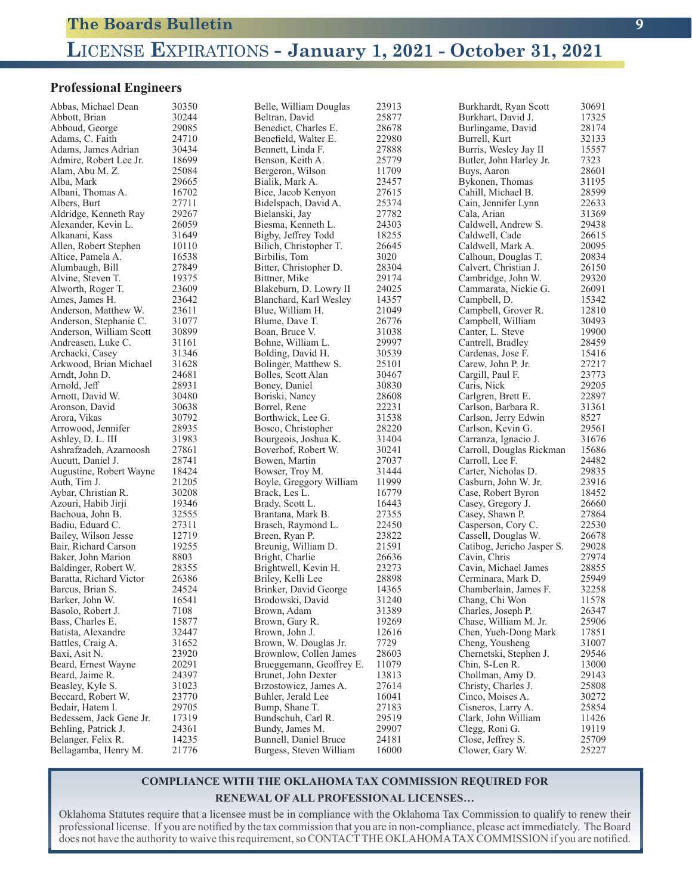# **L**ICENSE **E**XPIRATIONS **- January 1, 2021 - October 31, 2021**

### **Professional Engineers**

| Abbas, Michael Dean     | 30350 | Belle, William Douglas   | 23913 | Burkhardt, Ryan Scott      | 30691 |
|-------------------------|-------|--------------------------|-------|----------------------------|-------|
| Abbott, Brian           | 30244 | Beltran, David           | 25877 | Burkhart, David J.         | 17325 |
| Abboud, George          | 29085 | Benedict, Charles E.     | 28678 | Burlingame, David          | 28174 |
| Adams, C. Faith         | 24710 | Benefield, Walter E.     | 22980 | Burrell, Kurt              | 32133 |
| Adams, James Adrian     | 30434 | Bennett, Linda F.        | 27888 | Burris, Wesley Jay II      | 15557 |
| Admire, Robert Lee Jr.  | 18699 | Benson, Keith A.         | 25779 | Butler, John Harley Jr.    | 7323  |
| Alam, Abu M. Z.         | 25084 | Bergeron, Wilson         | 11709 | Buys, Aaron                | 28601 |
| Alba, Mark              | 29665 | Bialik, Mark A.          | 23457 | Bykonen, Thomas            | 31195 |
| Albani, Thomas A.       | 16702 | Bice, Jacob Kenyon       | 27615 | Cahill, Michael B.         | 28599 |
| Albers, Burt            | 27711 | Bidelspach, David A.     | 25374 | Cain, Jennifer Lynn        | 22633 |
| Aldridge, Kenneth Ray   | 29267 | Bielanski, Jay           | 27782 | Cala, Arian                | 31369 |
| Alexander, Kevin L.     | 26059 | Biesma, Kenneth L.       | 24303 | Caldwell, Andrew S.        | 29438 |
| Alkanani, Kass          | 31649 | Bigby, Jeffrey Todd      | 18255 | Caldwell, Cade             | 26615 |
| Allen, Robert Stephen   | 10110 | Bilich, Christopher T.   | 26645 | Caldwell, Mark A.          | 20095 |
| Altice, Pamela A.       | 16538 | Birbilis, Tom            | 3020  | Calhoun, Douglas T.        | 20834 |
| Alumbaugh, Bill         | 27849 | Bitter, Christopher D.   | 28304 | Calvert, Christian J.      | 26150 |
| Alvine, Steven T.       | 19375 | Bittner, Mike            | 29174 | Cambridge, John W.         | 29320 |
| Alworth, Roger T.       | 23609 | Blakeburn, D. Lowry II   | 24025 | Cammarata, Nickie G.       | 26091 |
| Ames, James H.          | 23642 | Blanchard, Karl Wesley   | 14357 | Campbell, D.               | 15342 |
| Anderson, Matthew W.    | 23611 | Blue, William H.         | 21049 | Campbell, Grover R.        | 12810 |
|                         | 31077 |                          | 26776 | Campbell, William          | 30493 |
| Anderson, Stephanie C.  | 30899 | Blume, Dave T.           | 31038 |                            | 19900 |
| Anderson, William Scott | 31161 | Boan, Bruce V.           | 29997 | Canter, L. Steve           | 28459 |
| Andreasen, Luke C.      |       | Bohne, William L.        |       | Cantrell, Bradley          |       |
| Archacki, Casey         | 31346 | Bolding, David H.        | 30539 | Cardenas, Jose F.          | 15416 |
| Arkwood, Brian Michael  | 31628 | Bolinger, Matthew S.     | 25101 | Carew, John P. Jr.         | 27217 |
| Arndt, John D.          | 24681 | Bolles, Scott Alan       | 30467 | Cargill, Paul F.           | 23773 |
| Arnold, Jeff            | 28931 | Boney, Daniel            | 30830 | Caris, Nick                | 29205 |
| Arnott, David W.        | 30480 | Boriski, Nancy           | 28608 | Carlgren, Brett E.         | 22897 |
| Aronson, David          | 30638 | Borrel, Rene             | 22231 | Carlson, Barbara R.        | 31361 |
| Arora, Vikas            | 30792 | Borthwick, Lee G.        | 31538 | Carlson, Jerry Edwin       | 8527  |
| Arrowood, Jennifer      | 28935 | Bosco, Christopher       | 28220 | Carlson, Kevin G.          | 29561 |
| Ashley, D. L. III       | 31983 | Bourgeois, Joshua K.     | 31404 | Carranza, Ignacio J.       | 31676 |
| Ashrafzadeh, Azarnoosh  | 27861 | Boverhof, Robert W.      | 30241 | Carroll, Douglas Rickman   | 15686 |
| Aucutt, Daniel J.       | 28741 | Bowen, Martin            | 27037 | Carroll, Lee F.            | 24482 |
| Augustine, Robert Wayne | 18424 | Bowser, Troy M.          | 31444 | Carter, Nicholas D.        | 29835 |
| Auth, Tim J.            | 21205 | Boyle, Greggory William  | 11999 | Casburn, John W. Jr.       | 23916 |
| Aybar, Christian R.     | 30208 | Brack, Les L.            | 16779 | Case, Robert Byron         | 18452 |
| Azouri, Habib Jirji     | 19346 | Brady, Scott L.          | 16443 | Casey, Gregory J.          | 26660 |
| Bachoua, John B.        | 32555 | Brantana, Mark B.        | 27355 | Casey, Shawn P.            | 27864 |
| Badiu, Eduard C.        | 27311 | Brasch, Raymond L.       | 22450 | Casperson, Cory C.         | 22530 |
| Bailey, Wilson Jesse    | 12719 | Breen, Ryan P.           | 23822 | Cassell, Douglas W.        | 26678 |
| Bair, Richard Carson    | 19255 | Breunig, William D.      | 21591 | Catibog, Jericho Jasper S. | 29028 |
| Baker, John Marion      | 8803  | Bright, Charlie          | 26636 | Cavin, Chris               | 27974 |
| Baldinger, Robert W.    | 28355 | Brightwell, Kevin H.     | 23273 | Cavin, Michael James       | 28855 |
| Baratta, Richard Victor | 26386 | Briley, Kelli Lee        | 28898 | Cerminara, Mark D.         | 25949 |
| Barcus, Brian S.        | 24524 | Brinker, David George    | 14365 | Chamberlain, James F.      | 32258 |
| Barker, John W.         | 16541 | Brodowski, David         | 31240 | Chang, Chi Won             | 11578 |
| Basolo, Robert J.       | 7108  | Brown, Adam              | 31389 | Charles, Joseph P.         | 26347 |
| Bass, Charles E.        | 15877 | Brown, Gary R.           | 19269 | Chase, William M. Jr.      | 25906 |
| Batista, Alexandre      | 32447 | Brown, John J.           | 12616 | Chen, Yueh-Dong Mark       | 17851 |
| Battles, Craig A.       | 31652 | Brown, W. Douglas Jr.    | 7729  | Cheng, Yousheng            | 31007 |
| Baxi, Asit N.           | 23920 | Brownlow, Collen James   | 28603 | Chernetski, Stephen J.     | 29546 |
| Beard, Ernest Wayne     | 20291 | Brueggemann, Geoffrey E. | 11079 | Chin, S-Len R.             | 13000 |
| Beard, Jaime R.         | 24397 | Brunet, John Dexter      | 13813 | Chollman, Amy D.           | 29143 |
| Beasley, Kyle S.        | 31023 | Brzostowicz, James A.    | 27614 | Christy, Charles J.        | 25808 |
| Beccard, Robert W.      | 23770 | Buhler, Jerald Lee       | 16041 | Cinco, Moises A.           | 30272 |
| Bedair, Hatem I.        | 29705 | Bump, Shane T.           | 27183 | Cisneros, Larry A.         | 25854 |
| Bedessem, Jack Gene Jr. | 17319 | Bundschuh, Carl R.       | 29519 | Clark, John William        | 11426 |
| Behling, Patrick J.     | 24361 | Bundy, James M.          | 29907 | Clegg, Roni G.             | 19119 |
| Belanger, Felix R.      | 14235 | Bunnell, Daniel Bruce    | 24181 | Close, Jeffrey S.          | 25709 |
| Bellagamba, Henry M.    | 21776 | Burgess, Steven William  | 16000 | Clower, Gary W.            | 25227 |

### **COMPLIANCE WITH THE OKLAHOMA TAX COMMISSION REQUIRED FOR**

#### **RENEWAL OF ALL PROFESSIONAL LICENSES…**

Oklahoma Statutes require that a licensee must be in compliance with the Oklahoma Tax Commission to qualify to renew their professional license. If you are notified by the tax commission that you are in non-compliance, please act immediately. The Board does not have the authority to waive this requirement, so CONTACT THE OKLAHOMA TAX COMMISSION if you are notified.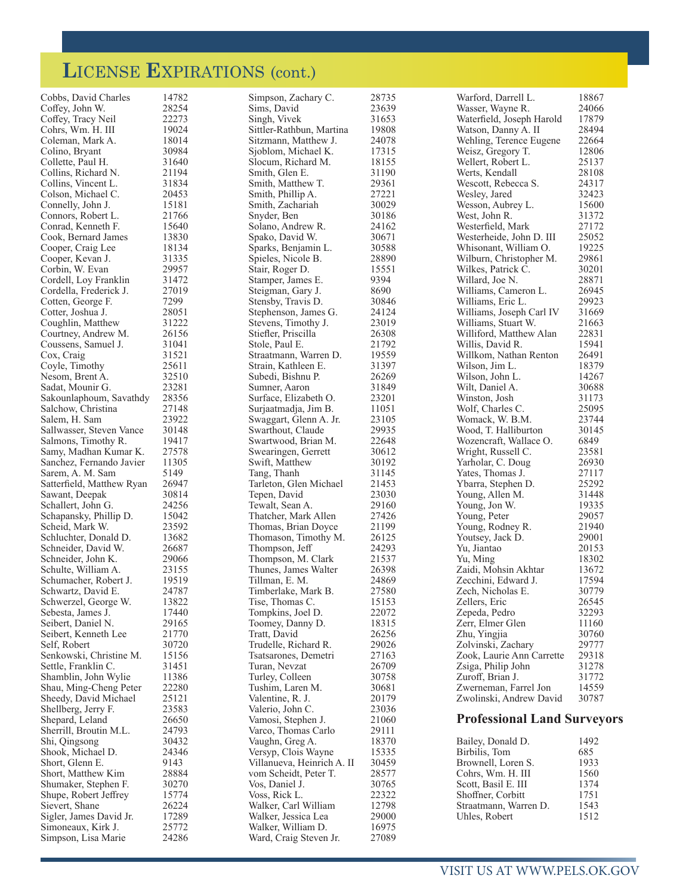# **L**ICENSE **E**XPIRATIONS (cont.)

| Cobbs, David Charles      | 14782 | Simpson, Zachary C.        | 28735          | Warford, Darrell L.                | 18867 |
|---------------------------|-------|----------------------------|----------------|------------------------------------|-------|
| Coffey, John W.           | 28254 | Sims, David                | 23639          | Wasser, Wayne R.                   | 24066 |
| Coffey, Tracy Neil        | 22273 | Singh, Vivek               | 31653          | Waterfield, Joseph Harold          | 17879 |
| Cohrs, Wm. H. III         | 19024 | Sittler-Rathbun, Martina   | 19808          | Watson, Danny A. II                | 28494 |
| Coleman, Mark A.          | 18014 | Sitzmann, Matthew J.       | 24078          | Wehling, Terence Eugene            | 22664 |
| Colino, Bryant            | 30984 | Sjoblom, Michael K.        | 17315          | Weisz, Gregory T.                  | 12806 |
| Collette, Paul H.         | 31640 | Slocum, Richard M.         | 18155          | Wellert, Robert L.                 | 25137 |
| Collins, Richard N.       | 21194 | Smith, Glen E.             | 31190          | Werts, Kendall                     | 28108 |
| Collins, Vincent L.       | 31834 | Smith, Matthew T.          | 29361          | Wescott, Rebecca S.                | 24317 |
| Colson, Michael C.        | 20453 | Smith, Phillip A.          | 27221          | Wesley, Jared                      | 32423 |
| Connelly, John J.         | 15181 | Smith, Zachariah           | 30029          | Wesson, Aubrey L.                  | 15600 |
| Connors, Robert L.        | 21766 | Snyder, Ben                | 30186          | West, John R.                      | 31372 |
|                           | 15640 |                            |                | Westerfield, Mark                  | 27172 |
| Conrad, Kenneth F.        |       | Solano, Andrew R.          | 24162<br>30671 |                                    | 25052 |
| Cook, Bernard James       | 13830 | Spako, David W.            |                | Westerheide, John D. III           |       |
| Cooper, Craig Lee         | 18134 | Sparks, Benjamin L.        | 30588          | Whisonant, William O.              | 19225 |
| Cooper, Kevan J.          | 31335 | Spieles, Nicole B.         | 28890          | Wilburn, Christopher M.            | 29861 |
| Corbin, W. Evan           | 29957 | Stair, Roger D.            | 15551          | Wilkes, Patrick C.                 | 30201 |
| Cordell, Loy Franklin     | 31472 | Stamper, James E.          | 9394           | Willard, Joe N.                    | 28871 |
| Cordella, Frederick J.    | 27019 | Steigman, Gary J.          | 8690           | Williams, Cameron L.               | 26945 |
| Cotten, George F.         | 7299  | Stensby, Travis D.         | 30846          | Williams, Eric L.                  | 29923 |
| Cotter, Joshua J.         | 28051 | Stephenson, James G.       | 24124          | Williams, Joseph Carl IV           | 31669 |
| Coughlin, Matthew         | 31222 | Stevens, Timothy J.        | 23019          | Williams, Stuart W.                | 21663 |
| Courtney, Andrew M.       | 26156 | Stiefler, Priscilla        | 26308          | Williford, Matthew Alan            | 22831 |
| Coussens, Samuel J.       | 31041 | Stole, Paul E.             | 21792          | Willis, David R.                   | 15941 |
| Cox, Craig                | 31521 | Straatmann, Warren D.      | 19559          | Willkom, Nathan Renton             | 26491 |
| Coyle, Timothy            | 25611 | Strain, Kathleen E.        | 31397          | Wilson, Jim L.                     | 18379 |
| Nesom, Brent A.           | 32510 | Subedi, Bishnu P.          | 26269          | Wilson, John L.                    | 14267 |
| Sadat, Mounir G.          | 23281 | Sumner, Aaron              | 31849          | Wilt, Daniel A.                    | 30688 |
| Sakounlaphoum, Savathdy   | 28356 | Surface, Elizabeth O.      | 23201          | Winston, Josh                      | 31173 |
| Salchow, Christina        | 27148 | Surjaatmadja, Jim B.       | 11051          | Wolf, Charles C.                   | 25095 |
| Salem, H. Sam             | 23922 | Swaggart, Glenn A. Jr.     | 23105          | Womack, W. B.M.                    | 23744 |
| Sallwasser, Steven Vance  | 30148 | Swarthout, Claude          | 29935          | Wood, T. Halliburton               | 30145 |
| Salmons, Timothy R.       | 19417 | Swartwood, Brian M.        | 22648          | Wozencraft, Wallace O.             | 6849  |
| Samy, Madhan Kumar K.     | 27578 | Swearingen, Gerrett        | 30612          | Wright, Russell C.                 | 23581 |
| Sanchez, Fernando Javier  | 11305 | Swift, Matthew             | 30192          | Yarholar, C. Doug                  | 26930 |
| Sarem, A. M. Sam          | 5149  | Tang, Thanh                | 31145          | Yates, Thomas J.                   | 27117 |
| Satterfield, Matthew Ryan | 26947 | Tarleton, Glen Michael     | 21453          | Ybarra, Stephen D.                 | 25292 |
| Sawant, Deepak            | 30814 | Tepen, David               | 23030          | Young, Allen M.                    | 31448 |
| Schallert, John G.        | 24256 | Tewalt, Sean A.            | 29160          | Young, Jon W.                      | 19335 |
| Schapansky, Phillip D.    | 15042 | Thatcher, Mark Allen       | 27426          | Young, Peter                       | 29057 |
| Scheid, Mark W.           | 23592 | Thomas, Brian Doyce        | 21199          | Young, Rodney R.                   | 21940 |
| Schluchter, Donald D.     | 13682 | Thomason, Timothy M.       | 26125          | Youtsey, Jack D.                   | 29001 |
| Schneider, David W.       | 26687 | Thompson, Jeff             | 24293          | Yu, Jiantao                        | 20153 |
| Schneider, John K.        | 29066 | Thompson, M. Clark         | 21537          | Yu, Ming                           | 18302 |
| Schulte, William A.       | 23155 | Thunes, James Walter       | 26398          | Zaidi, Mohsin Akhtar               | 13672 |
| Schumacher, Robert J.     | 19519 | Tillman, E. M.             | 24869          | Zecchini, Edward J.                | 17594 |
| Schwartz, David E.        | 24787 | Timberlake, Mark B.        | 27580          | Zech, Nicholas E.                  | 30779 |
| Schwerzel, George W.      | 13822 | Tise, Thomas C.            | 15153          | Zellers, Eric                      | 26545 |
| Sebesta, James J.         | 17440 | Tompkins, Joel D.          | 22072          | Zepeda, Pedro                      | 32293 |
| Seibert, Daniel N.        | 29165 | Toomey, Danny D.           | 18315          | Zerr, Elmer Glen                   | 11160 |
| Seibert, Kenneth Lee      | 21770 | Tratt, David               | 26256          | Zhu, Yingjia                       | 30760 |
| Self, Robert              | 30720 | Trudelle, Richard R.       | 29026          | Zolvinski, Zachary                 | 29777 |
| Senkowski, Christine M.   | 15156 | Tsatsarones, Demetri       | 27163          | Zook, Laurie Ann Carrette          | 29318 |
| Settle, Franklin C.       | 31451 | Turan, Nevzat              | 26709          | Zsiga, Philip John                 | 31278 |
| Shamblin, John Wylie      | 11386 | Turley, Colleen            | 30758          | Zuroff, Brian J.                   | 31772 |
| Shau, Ming-Cheng Peter    | 22280 | Tushim, Laren M.           | 30681          | Zwerneman, Farrel Jon              | 14559 |
| Sheedy, David Michael     | 25121 | Valentine, R. J.           | 20179          | Zwolinski, Andrew David            | 30787 |
| Shellberg, Jerry F.       | 23583 | Valerio, John C.           | 23036          |                                    |       |
| Shepard, Leland           | 26650 | Vamosi, Stephen J.         | 21060          | <b>Professional Land Surveyors</b> |       |
| Sherrill, Broutin M.L.    | 24793 |                            | 29111          |                                    |       |
|                           | 30432 | Varco, Thomas Carlo        | 18370          |                                    | 1492  |
| Shi, Qingsong             |       | Vaughn, Greg A.            |                | Bailey, Donald D.                  |       |
| Shook, Michael D.         | 24346 | Versyp, Clois Wayne        | 15335          | Birbilis, Tom                      | 685   |
| Short, Glenn E.           | 9143  | Villanueva, Heinrich A. II | 30459          | Brownell, Loren S.                 | 1933  |
| Short, Matthew Kim        | 28884 | vom Scheidt, Peter T.      | 28577          | Cohrs, Wm. H. III                  | 1560  |
| Shumaker, Stephen F.      | 30270 | Vos, Daniel J.             | 30765          | Scott, Basil E. III                | 1374  |
| Shupe, Robert Jeffrey     | 15774 | Voss, Rick L.              | 22322          | Shoffner, Corbitt                  | 1751  |
| Sievert, Shane            | 26224 | Walker, Carl William       | 12798          | Straatmann, Warren D.              | 1543  |
| Sigler, James David Jr.   | 17289 | Walker, Jessica Lea        | 29000          | Uhles, Robert                      | 1512  |
| Simoneaux, Kirk J.        | 25772 | Walker, William D.         | 16975          |                                    |       |
| Simpson, Lisa Marie       | 24286 | Ward, Craig Steven Jr.     | 27089          |                                    |       |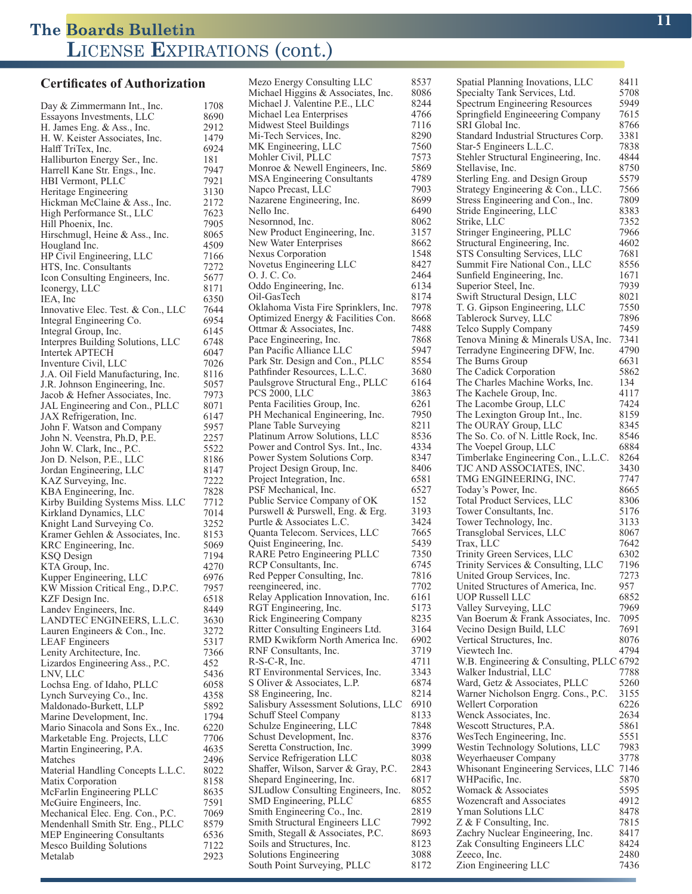#### **Certificates of Authorization**

Day & Zimmermann Int., Inc. 1708<br>Essayons Investments, LLC 8690 Essayons Investments, LLC 8690<br>
H. James Eng. & Ass., Inc. 2912 H. James Eng. & Ass., Inc. 2912<br>H. W. Keister Associates. Inc. 2479 H. W. Keister Associates, Inc. 1479<br>Halff TriTex, Inc. 6924 Halff TriTex, Inc. 6924<br>Halliburton Energy Ser., Inc. 181 Halliburton Energy Ser., Inc. 181<br>Harrell Kane Str. Engs., Inc. 7947 Harrell Kane Str. Engs., Inc. HBI Vermont, PLLC 7921<br>Heritage Engineering 3130 Heritage Engineering 3130<br>Hickman McClaine & Ass., Inc. 2172 Hickman McClaine & Ass., Inc. High Performance St., LLC 7623<br>Hill Phoenix. Inc. 7905 Hill Phoenix, Inc. 7905<br>Hirschmugl, Heine & Ass., Inc. 8065 Hirschmugl, Heine & Ass., Inc. Hougland Inc. 4509<br>HP Civil Engineering, LLC 7166 HP Civil Engineering, LLC 7166<br>HTS, Inc. Consultants 7272 HTS, Inc. Consultants 7272<br>Icon Consulting Engineers, Inc. 5677 Icon Consulting Engineers, Inc. Iconergy, LLC 8171<br>IEA. Inc 6350 IEA, Inc 6350<br>Innovative Elec. Test. & Con., LLC 7644 Innovative Elec. Test. & Con., LLC 7644<br>Integral Engineering Co. 6954 Integral Engineering Co. 6954<br>Integral Group, Inc. 6145 Integral Group, Inc. Interpres Building Solutions, LLC 6748<br>Intertek APTECH 6047 Intertek APTECH<br>Inventure Civil, LLC 6047 Inventure Civil, LLC 7026 J.A. Oil Field Manufacturing, Inc. 8116<br>J.R. Johnson Engineering, Inc. 5057 J.R. Johnson Engineering, Inc. 5057<br>Jacob & Hefner Associates, Inc. 7973 Jacob & Hefner Associates, Inc. 7973<br>JAL Engineering and Con., PLLC 8071 JAL Engineering and Con., PLLC 8071<br>JAX Refrigeration, Inc. 6147 JAX Refrigeration, Inc. 6147<br>John F. Watson and Company 5957 John F. Watson and Company John N. Veenstra, Ph.D, P.E. 2257 John W. Clark, Inc., P.C. 5522<br>Jon D. Nelson, P.E., LLC 8186 Jon D. Nelson, P.E., LLC 8186<br>Jordan Engineering, LLC 8147 Jordan Engineering, LLC 8147<br>KAZ Surveving, Inc. 6222 KAZ Surveying, Inc. 7222<br>KBA Engineering, Inc. 7828 KBA Engineering, Inc. Kirby Building Systems Miss. LLC 7712<br>Kirkland Dynamics. LLC 7014 Kirkland Dynamics, LLC 7014<br>
Knight Land Surveying Co. 3252 Knight Land Surveying Co. Kramer Gehlen & Associates, Inc. 8153<br>KRC Engineering Inc. 5069 KRC Engineering, Inc. 5069<br>KSO Design 7194 KSQ Design 7194<br>KTA Group, Inc. 4270 KTA Group, Inc. 4270<br>
Kupper Engineering, LLC 6976 Kupper Engineering, LLC 6976<br>KW Mission Critical Eng., D.P.C. 7957 KW Mission Critical Eng., D.P.C. KZF Design Inc. 6518 Landev Engineers, Inc. 8449<br>LANDTEC ENGINEERS, L.L.C. 3630 LANDTEC ENGINEERS, L.L.C. 3630<br>Lauren Engineers & Con., Inc. 3272 Lauren Engineers & Con., Inc. 3272<br>LEAF Engineers 5317 LEAF Engineers 5317<br>
Lenity Architecture, Inc. 7366 Lenity Architecture, Inc. Lizardos Engineering Ass., P.C. 452<br>LNV. LLC 5436 LNV, LLC 5436<br>
Lochsa Eng. of Idaho, PLLC 6058 Lochsa Eng. of Idaho, PLLC Lynch Surveying Co., Inc. 4358 Maldonado-Burkett, LLP 5892<br>Marine Development, Inc. 1794 Marine Development, Inc. 1794<br>Mario Sinacola and Sons Ex., Inc. 6220 Mario Sinacola and Sons Ex., Inc. 6220<br>Marketable Eng. Projects, LLC 7706 Marketable Eng. Projects, LLC 7706<br>Martin Engineering, P.A. 4635 Martin Engineering, P.A. Matches 2496<br>Material Handling Concepts L.L.C. 8022 Material Handling Concepts L.L.C. 8022<br>Matix Corporation 8158 Matix Corporation McFarlin Engineering PLLC 8635<br>McGuire Engineers, Inc. 7591 McGuire Engineers, Inc. 7591<br>Mechanical Elec. Eng. Con., P.C. 7069 Mechanical Elec. Eng. Con., P.C. Mendenhall Smith Str. Eng., PLLC 8579<br>MEP Engineering Consultants 6536 MEP Engineering Consultants 6536<br>Mesco Building Solutions 7122 Mesco Building Solutions 7122<br>Metalab 2923 Metalab

Mezo Energy Consulting LLC 8537<br>Michael Higgins & Associates. Inc. 8086 Michael Higgins & Associates, Inc. 8086<br>Michael J. Valentine P.E., LLC. 8244 Michael J. Valentine P.E., LLC 8244<br>Michael Lea Enterprises 4766 Michael Lea Enterprises Midwest Steel Buildings 7116<br>Mi-Tech Services Inc. 8290 Mi-Tech Services, Inc. 6290<br>MK Engineering, LLC 62560 MK Engineering, LLC Mohler Civil, PLLC<br>Monroe & Newell Engineers. Inc. 5869 Monroe & Newell Engineers, Inc. 5869<br>MSA Engineering Consultants 4789 **MSA Engineering Consultants** Napco Precast, LLC 7903<br>Nazarene Engineering, Inc. 7903 Nazarene Engineering, Inc. 8699<br>Nello Inc. 6490 Nello Inc. 6490 Nesornnod, Inc. New Product Engineering, Inc. 3157 New Water Enterprises 6662<br>Nexus Corporation 1548 Nexus Corporation Novetus Engineering LLC 8427<br>O. J. C. Co. 2464 O. J. C. Co. Oddo Engineering, Inc. 6134<br>Oil-GasTech 8174 Oil-GasTech 8174<br>Oklahoma Vista Fire Sprinklers. Inc. 7978 Oklahoma Vista Fire Sprinklers, Inc. Optimized Energy & Facilities Con. 8668<br>Ottmar & Associates. Inc. 7488 Ottmar & Associates, Inc. 7488<br>Pace Engineering, Inc. 7868 Pace Engineering, Inc. Pan Pacific Alliance LLC 5947<br>Park Str. Design and Con., PLLC 8554 Park Str. Design and Con., PLLC 8554<br>Pathfinder Resources, L.L.C. 3680 Pathfinder Resources, L.L.C. Paulsgrove Structural Eng., PLLC 6164<br>PCS 2000, LLC 3863 PCS 2000, LLC 3863<br>Penta Facilities Group, Inc. 6261 Penta Facilities Group, Inc. 6261<br>PH Mechanical Engineering, Inc. 7950 PH Mechanical Engineering, Inc. Plane Table Surveying 8211<br>Platinum Arrow Solutions, LLC 8536 Platinum Arrow Solutions, LLC 8536<br>Power and Control Sys. Int., Inc. 4334 Power and Control Sys. Int., Inc. 4334<br>Power System Solutions Corp. 8347 Power System Solutions Corp. 8347<br>Project Design Group, Inc. 8406 Project Design Group, Inc. Project Integration, Inc. 6581<br>PSF Mechanical, Inc. 6527 PSF Mechanical, Inc. 652<br>Public Service Company of OK 152 Public Service Company of OK Purswell & Purswell, Eng. & Erg. 3193<br>Purtle & Associates L.C. 3424 Purtle & Associates L.C.<br>Quanta Telecom. Services, LLC 7665 Quanta Telecom. Services, LLC 7665 Quist Engineering, Inc. 5439<br>RARE Petro Engineering PLLC 7350 RARE Petro Engineering PLLC 7350<br>RCP Consultants, Inc. 6745 RCP Consultants, Inc. 6745<br>Red Pepper Consulting. Inc. 7816 Red Pepper Consulting, Inc. reengineered, inc. 7702<br>Relay Application Innovation, Inc. 6161 Relay Application Innovation, Inc. RGT Engineering, Inc. 5173 Rick Engineering Company 8235<br>Ritter Consulting Engineers Ltd. 3164 Ritter Consulting Engineers Ltd. RMD Kwikform North America Inc. 6902<br>RNF Consultants. Inc. 3719 RNF Consultants, Inc. 3719<br>R-S-C-R. Inc. 3711  $R-S-C-R$ . Inc. RT Environmental Services, Inc. 3343<br>S Oliver & Associates, L.P. 6874 S Oliver & Associates, L.P. 6874<br>S8 Engineering, Inc. 6874 S8 Engineering, Inc. Salisbury Assessment Solutions, LLC 6910<br>Schuff Steel Company 8133 Schuff Steel Company 8133<br>Schulze Engineering, LLC 7848 Schulze Engineering, LLC Schust Development, Inc. 8376 Seretta Construction, Inc. 3999<br>Service Refrigeration LLC 3038 Service Refrigeration LLC Shaffer, Wilson, Sarver & Gray, P.C. 2843 Shepard Engineering, Inc. 6817<br>SJLudlow Consulting Engineers, Inc. 8052 SJLudlow Consulting Engineers, Inc. SMD Engineering, PLLC 6855<br>
Smith Engineering Co., Inc. 2819 Smith Engineering Co., Inc. 2819<br>Smith Structural Engineers LLC 7992 Smith Structural Engineers LLC Smith, Stegall & Associates, P.C. 8693<br>Soils and Structures, Inc. 8123 Soils and Structures, Inc. 8123<br>Solutions Engineering 3088 Solutions Engineering South Point Surveying, PLLC 8172

| Spatial Planning Inovations, LLC                                     | 8411         |
|----------------------------------------------------------------------|--------------|
| Specialty Tank Services, Ltd.<br>Spectrum Engineering Resources      | 5708<br>5949 |
| Springfield Engineeering Company                                     | 7615         |
| SRI Global Inc.                                                      | 8766         |
| Standard Industrial Structures Corp.                                 | 3381         |
| Star-5 Engineers L.L.C.                                              | 7838         |
| Stehler Structural Engineering, Inc.<br>Stellavise, Inc.             | 4844<br>8750 |
| Sterling Eng. and Design Group                                       | 5579         |
| Strategy Engineering & Con., LLC.                                    | 7566         |
| Stress Engineering and Con., Inc.                                    | 7809         |
| Stride Engineering, LLC                                              | 8383         |
| Strike, LLC                                                          | 7352<br>7966 |
| Stringer Engineering, PLLC<br>Structural Engineering, Inc.           | 4602         |
| STS Consulting Services, LLC                                         | 7681         |
| Summit Fire National Con., LLC                                       | 8556         |
| Sunfield Engineering, Inc.                                           | 1671         |
| Superior Steel, Inc.                                                 | 7939         |
| Swift Structural Design, LLC<br>T. G. Gipson Engineering, LLC        | 8021<br>7550 |
| Tablerock Survey, LLC                                                | 7896         |
| Telco Supply Company                                                 | 7459         |
| Tenova Mining & Minerals USA, Inc.                                   | 7341         |
| Terradyne Engineering DFW, Inc.                                      | 4790         |
| The Burns Group<br>The Cadick Corporation                            | 6631<br>5862 |
| The Charles Machine Works, Inc.                                      | 134          |
| The Kachele Group, Inc.                                              | 4117         |
| The Lacombe Group, LLC                                               | 7424         |
| The Lexington Group Int., Inc.                                       | 8159         |
| The OURAY Group, LLC                                                 | 8345<br>8546 |
| The So. Co. of N. Little Rock, Inc.<br>The Voepel Group, LLC         | 6884         |
| Timberlake Engineering Con., L.L.C.                                  | 8264         |
| TJC AND ASSOCIATES, INC.                                             | 3430         |
| TMG ENGINEERING, INC.                                                | 7747         |
| Today's Power, Inc.<br>Total Product Services, LLC                   | 8665<br>8306 |
| Tower Consultants, Inc.                                              | 5176         |
| Tower Technology, Inc.                                               | 3133         |
| Transglobal Services, LLC                                            | 8067         |
| Trax, LLC                                                            | 7642         |
| Trinity Green Services, LLC<br>Trinity Services & Consulting, LLC    | 6302<br>7196 |
| United Group Services, Inc.                                          | 7273         |
| United Structures of America, Inc.                                   | 957          |
| <b>UOP Russell LLC</b>                                               | 6852         |
| Valley Surveying, LLC                                                | 7969         |
| Van Boerum & Frank Associates, Inc.<br>Vecino Design Build, LLC      | 7095<br>7691 |
| Vertical Structures, Inc.                                            | 8076         |
| Viewtech Inc.                                                        | 4794         |
| W.B. Engineering & Consulting, PLLC 6792                             |              |
| Walker Industrial, LLC                                               | 7788         |
| Ward, Getz & Associates, PLLC<br>Warner Nicholson Engrg. Cons., P.C. | 5260<br>3155 |
| Wellert Corporation                                                  | 6226         |
| Wenck Associates, Inc.                                               | 2634         |
| Wescott Structures, P.A.                                             | 5861         |
| WesTech Engineering, Inc.                                            | 5551         |
| Westin Technology Solutions, LLC                                     | 7983<br>3778 |
| Weyerhaeuser Company<br>Whisonant Engineering Services, LLC          | 7146         |
| WHPacific, Inc.                                                      | 5870         |
| Womack & Associates                                                  | 5595         |
| Wozencraft and Associates                                            | 4912         |
| Yman Solutions LLC                                                   | 8478         |
| Z & F Consulting, Inc.<br>Zachry Nuclear Engineering, Inc.           | 7815<br>8417 |
| Zak Consulting Engineers LLC                                         | 8424         |
| Zeeco, Inc.                                                          | 2480         |
| Zion Engineering LLC                                                 | 7436         |
|                                                                      |              |